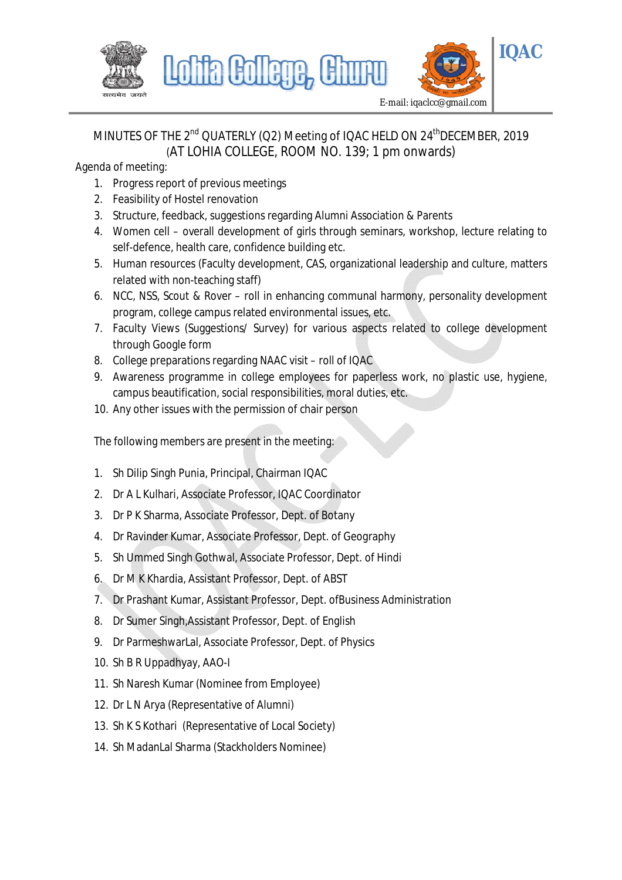

# MINUTES OF THE 2<sup>nd</sup> QUATERLY (Q2) Meeting of IQAC HELD ON 24<sup>th</sup>DECEMBER, 2019 (AT LOHIA COLLEGE, ROOM NO. 139; 1 pm onwards)

Agenda of meeting:

- 1. Progress report of previous meetings
- 2. Feasibility of Hostel renovation
- 3. Structure, feedback, suggestions regarding Alumni Association & Parents
- 4. Women cell overall development of girls through seminars, workshop, lecture relating to self-defence, health care, confidence building etc.
- 5. Human resources (Faculty development, CAS, organizational leadership and culture, matters related with non-teaching staff)
- 6. NCC, NSS, Scout & Rover roll in enhancing communal harmony, personality development program, college campus related environmental issues, etc.
- 7. Faculty Views (Suggestions/ Survey) for various aspects related to college development through Google form
- 8. College preparations regarding NAAC visit roll of IQAC
- 9. Awareness programme in college employees for paperless work, no plastic use, hygiene, campus beautification, social responsibilities, moral duties, etc.
- 10. Any other issues with the permission of chair person

The following members are present in the meeting:

- 1. Sh Dilip Singh Punia, Principal, Chairman IQAC
- 2. Dr A L Kulhari, Associate Professor, IQAC Coordinator
- 3. Dr P K Sharma, Associate Professor, Dept. of Botany
- 4. Dr Ravinder Kumar, Associate Professor, Dept. of Geography
- 5. Sh Ummed Singh Gothwal, Associate Professor, Dept. of Hindi
- 6. Dr M K Khardia, Assistant Professor, Dept. of ABST
- 7. Dr Prashant Kumar, Assistant Professor, Dept. ofBusiness Administration
- 8. Dr Sumer Singh,Assistant Professor, Dept. of English
- 9. Dr ParmeshwarLal, Associate Professor, Dept. of Physics
- 10. Sh B R Uppadhyay, AAO-I
- 11. Sh Naresh Kumar (Nominee from Employee)
- 12. Dr L N Arya (Representative of Alumni)
- 13. Sh K S Kothari (Representative of Local Society)
- 14. Sh MadanLal Sharma (Stackholders Nominee)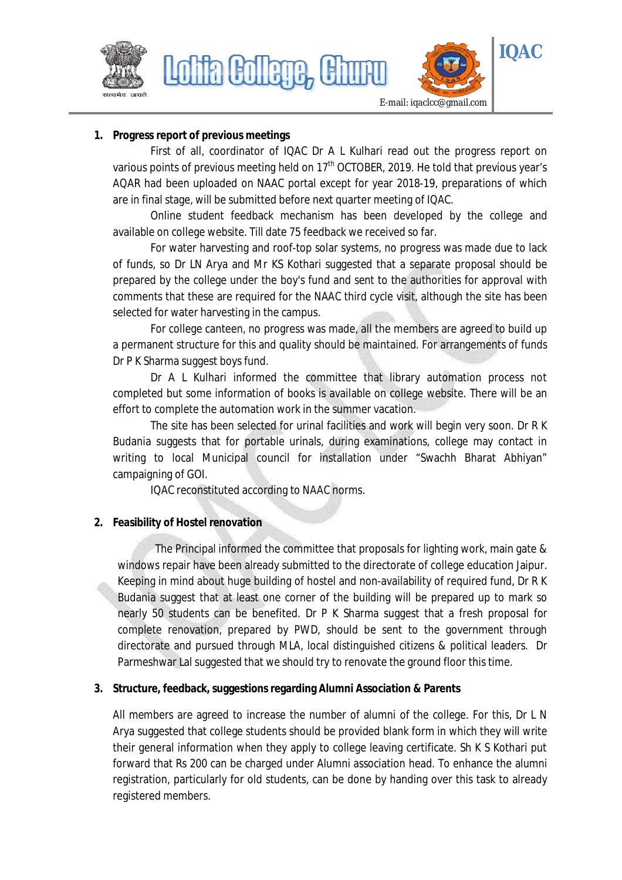



**1. Progress report of previous meetings**

Lohia Gollege,

First of all, coordinator of IQAC Dr A L Kulhari read out the progress report on various points of previous meeting held on 17<sup>th</sup> OCTOBER, 2019. He told that previous year's AQAR had been uploaded on NAAC portal except for year 2018-19, preparations of which are in final stage, will be submitted before next quarter meeting of IQAC.

Online student feedback mechanism has been developed by the college and available on college website. Till date 75 feedback we received so far.

For water harvesting and roof-top solar systems, no progress was made due to lack of funds, so Dr LN Arya and Mr KS Kothari suggested that a separate proposal should be prepared by the college under the boy's fund and sent to the authorities for approval with comments that these are required for the NAAC third cycle visit, although the site has been selected for water harvesting in the campus.

For college canteen, no progress was made, all the members are agreed to build up a permanent structure for this and quality should be maintained. For arrangements of funds Dr P K Sharma suggest boys fund.

Dr A L Kulhari informed the committee that library automation process not completed but some information of books is available on college website. There will be an effort to complete the automation work in the summer vacation.

The site has been selected for urinal facilities and work will begin very soon. Dr R K Budania suggests that for portable urinals, during examinations, college may contact in writing to local Municipal council for installation under "Swachh Bharat Abhiyan" campaigning of GOI.

IQAC reconstituted according to NAAC norms.

### **2. Feasibility of Hostel renovation**

The Principal informed the committee that proposals for lighting work, main gate & windows repair have been already submitted to the directorate of college education Jaipur. Keeping in mind about huge building of hostel and non-availability of required fund, Dr R K Budania suggest that at least one corner of the building will be prepared up to mark so nearly 50 students can be benefited. Dr P K Sharma suggest that a fresh proposal for complete renovation, prepared by PWD, should be sent to the government through directorate and pursued through MLA, local distinguished citizens & political leaders. Dr Parmeshwar Lal suggested that we should try to renovate the ground floor this time.

#### **3. Structure, feedback, suggestions regarding Alumni Association & Parents**

All members are agreed to increase the number of alumni of the college. For this, Dr L N Arya suggested that college students should be provided blank form in which they will write their general information when they apply to college leaving certificate. Sh K S Kothari put forward that Rs 200 can be charged under Alumni association head. To enhance the alumni registration, particularly for old students, can be done by handing over this task to already registered members.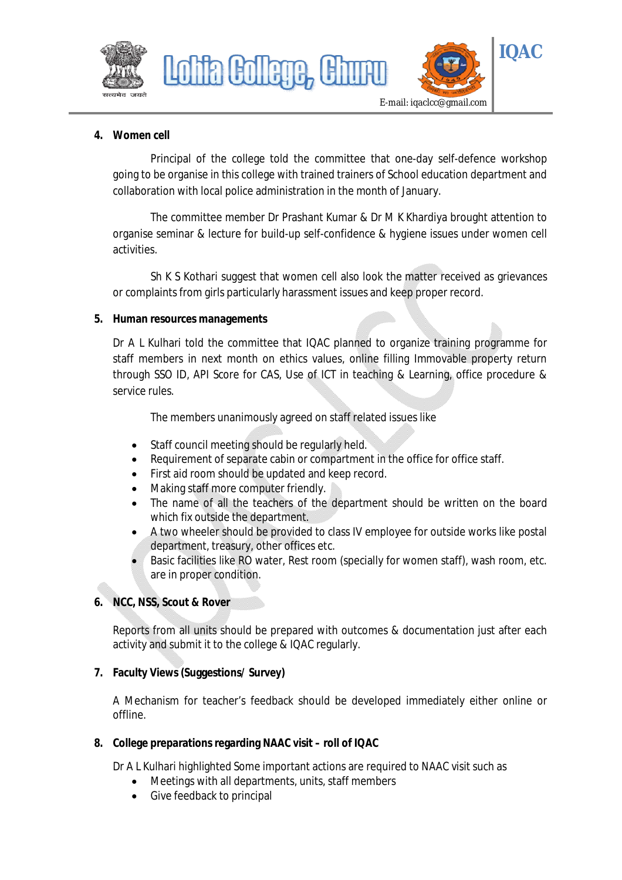

### **4. Women cell**

Principal of the college told the committee that one-day self-defence workshop going to be organise in this college with trained trainers of School education department and collaboration with local police administration in the month of January.

The committee member Dr Prashant Kumar & Dr M K Khardiya brought attention to organise seminar & lecture for build-up self-confidence & hygiene issues under women cell activities.

Sh K S Kothari suggest that women cell also look the matter received as grievances or complaints from girls particularly harassment issues and keep proper record.

#### **5. Human resources managements**

Dr A L Kulhari told the committee that IQAC planned to organize training programme for staff members in next month on ethics values, online filling Immovable property return through SSO ID, API Score for CAS, Use of ICT in teaching & Learning, office procedure & service rules.

The members unanimously agreed on staff related issues like

- Staff council meeting should be regularly held.
- Requirement of separate cabin or compartment in the office for office staff.
- First aid room should be updated and keep record.
- Making staff more computer friendly.
- The name of all the teachers of the department should be written on the board which fix outside the department.
- A two wheeler should be provided to class IV employee for outside works like postal department, treasury, other offices etc.
- Basic facilities like RO water, Rest room (specially for women staff), wash room, etc. are in proper condition.

#### **6. NCC, NSS, Scout & Rover**

Reports from all units should be prepared with outcomes & documentation just after each activity and submit it to the college & IQAC regularly.

### **7. Faculty Views (Suggestions/ Survey)**

A Mechanism for teacher's feedback should be developed immediately either online or offline.

#### **8. College preparations regarding NAAC visit – roll of IQAC**

Dr A L Kulhari highlighted Some important actions are required to NAAC visit such as

- Meetings with all departments, units, staff members
- Give feedback to principal